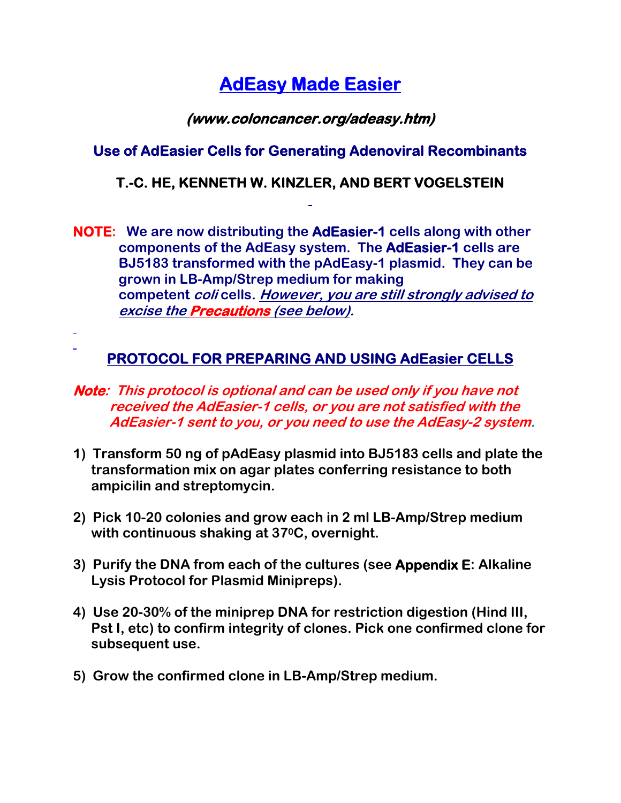# **AdEasy Made Easier**

## **(www.coloncancer.org/adeasy.htm)**

## **Use of AdEasier Cells for Generating Adenoviral Recombinants**

#### **T.-C. HE, KENNETH W. KINZLER, AND BERT VOGELSTEIN**

**NOTE: We are now distributing the AdEasier-1 cells along with other components of the AdEasy system. The AdEasier-1 cells are BJ5183 transformed with the pAdEasy-1 plasmid. They can be grown in LB-Amp/Strep medium for making competent coli cells. However, you are still strongly advised to excise the Precautions (see below).**

# **PROTOCOL FOR PREPARING AND USING AdEasier CELLS**

- **Note: This protocol is optional and can be used only if you have not received the AdEasier-1 cells, or you are not satisfied with the AdEasier-1 sent to you, or you need to use the AdEasy-2 system.**
- **1) Transform 50 ng of pAdEasy plasmid into BJ5183 cells and plate the transformation mix on agar plates conferring resistance to both ampicilin and streptomycin.**
- **2) Pick 10-20 colonies and grow each in 2 ml LB-Amp/Strep medium with continuous shaking at 370C, overnight.**
- **3) Purify the DNA from each of the cultures (see Appendix E: Alkaline Lysis Protocol for Plasmid Minipreps).**
- **4) Use 20-30% of the miniprep DNA for restriction digestion (Hind III, Pst I, etc) to confirm integrity of clones. Pick one confirmed clone for subsequent use.**
- **5) Grow the confirmed clone in LB-Amp/Strep medium.**